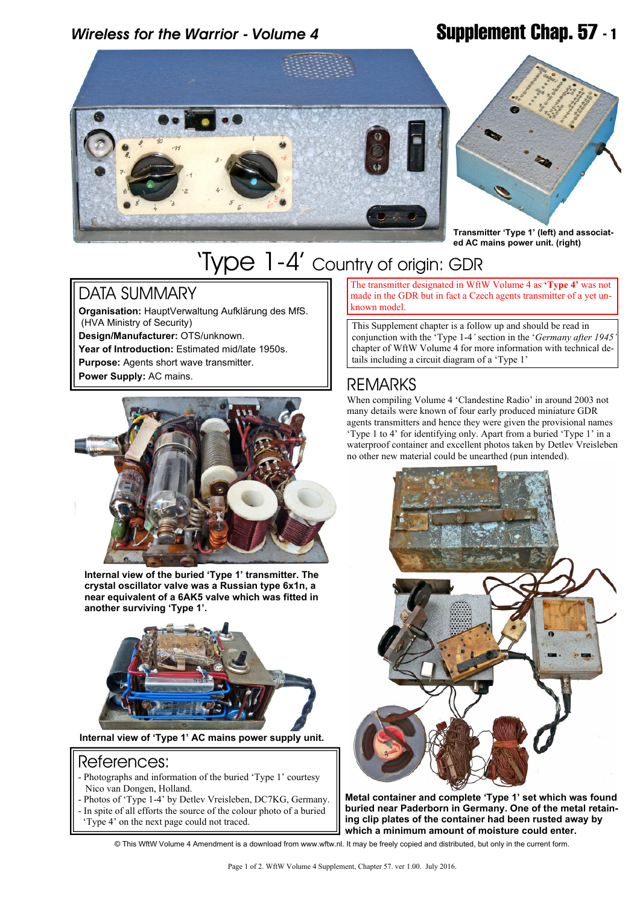# *Wireless for the Warrior - Volume 4* **Supplement Chap. 57 - 1**





**Transmitter 'Type 1' (left) and associated AC mains power unit. (right)**

# 'Type 1-4' Country of origin: GDR

### DATA SUMMARY

**Organisation:** HauptVerwaltung Aufklärung des MfS. (HVA Ministry of Security) **Design/Manufacturer:** OTS/unknown.

**Year of Introduction:** Estimated mid/late 1950s. **Purpose:** Agents short wave transmitter. **Power Supply:** AC mains.



**Internal view of the buried 'Type 1' transmitter. The crystal oscillator valve was a Russian type 6x1n, a near equivalent of a 6AK5 valve which was fitted in another surviving 'Type 1'.**



**Internal view of 'Type 1' AC mains power supply unit.**

### References:

- Photographs and information of the buried 'Type 1' courtesy Nico van Dongen, Holland.
- Photos of 'Type 1-4' by Detlev Vreisleben, DC7KG, Germany. - In spite of all efforts the source of the colour photo of a buried
- 'Type 4' on the next page could not traced.

The transmitter designated in WftW Volume 4 as **'Type 4'** was not made in the GDR but in fact a Czech agents transmitter of a yet unknown model.

This Supplement chapter is a follow up and should be read in conjunction with the 'Type 1-4*'* section in the '*Germany after 1945'* chapter of WftW Volume 4 for more information with technical details including a circuit diagram of a 'Type 1'

## **REMARKS**

When compiling Volume 4 'Clandestine Radio' in around 2003 not many details were known of four early produced miniature GDR agents transmitters and hence they were given the provisional names 'Type 1 to 4' for identifying only. Apart from a buried 'Type 1' in a waterproof container and excellent photos taken by Detlev Vreisleben no other new material could be unearthed (pun intended).



**Metal container and complete 'Type 1' set which was found buried near Paderborn in Germany. One of the metal retaining clip plates of the container had been rusted away by which a minimum amount of moisture could enter.**

© This WftW Volume 4 Amendment is a download from www.wftw.nl. It may be freely copied and distributed, but only in the current form.